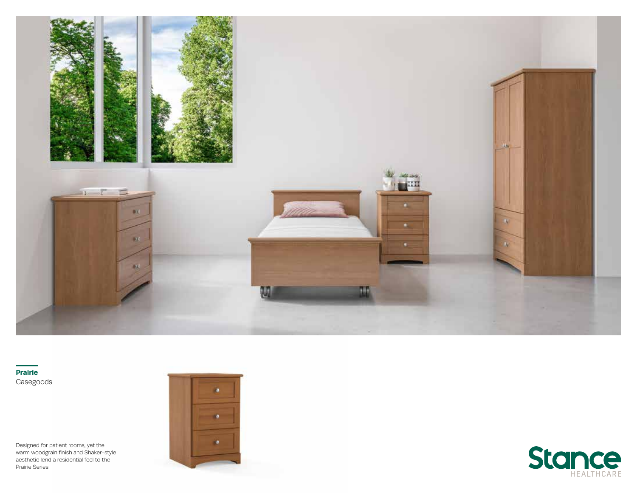

**Prairie** Casegoods